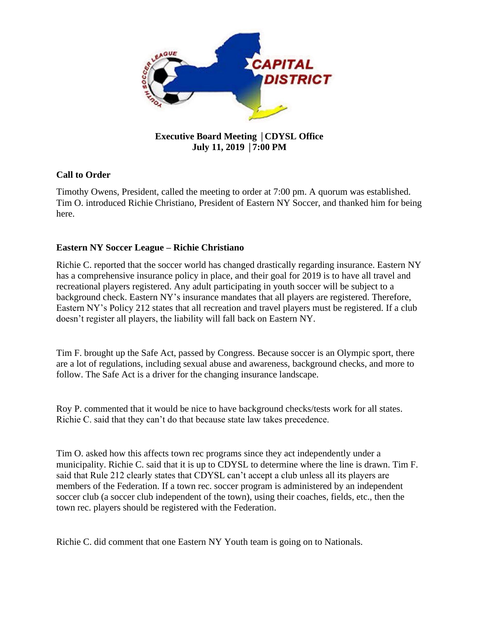

# **Executive Board Meeting** │**CDYSL Office July 11, 2019** │**7:00 PM**

# **Call to Order**

Timothy Owens, President, called the meeting to order at 7:00 pm. A quorum was established. Tim O. introduced Richie Christiano, President of Eastern NY Soccer, and thanked him for being here.

## **Eastern NY Soccer League – Richie Christiano**

Richie C. reported that the soccer world has changed drastically regarding insurance. Eastern NY has a comprehensive insurance policy in place, and their goal for 2019 is to have all travel and recreational players registered. Any adult participating in youth soccer will be subject to a background check. Eastern NY's insurance mandates that all players are registered. Therefore, Eastern NY's Policy 212 states that all recreation and travel players must be registered. If a club doesn't register all players, the liability will fall back on Eastern NY.

Tim F. brought up the Safe Act, passed by Congress. Because soccer is an Olympic sport, there are a lot of regulations, including sexual abuse and awareness, background checks, and more to follow. The Safe Act is a driver for the changing insurance landscape.

Roy P. commented that it would be nice to have background checks/tests work for all states. Richie C. said that they can't do that because state law takes precedence.

Tim O. asked how this affects town rec programs since they act independently under a municipality. Richie C. said that it is up to CDYSL to determine where the line is drawn. Tim F. said that Rule 212 clearly states that CDYSL can't accept a club unless all its players are members of the Federation. If a town rec. soccer program is administered by an independent soccer club (a soccer club independent of the town), using their coaches, fields, etc., then the town rec. players should be registered with the Federation.

Richie C. did comment that one Eastern NY Youth team is going on to Nationals.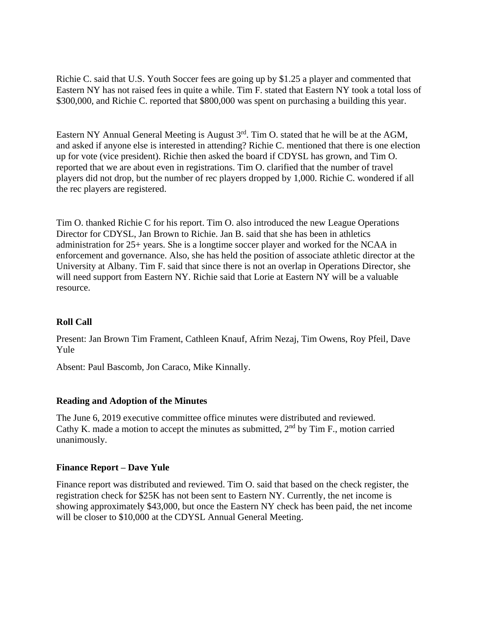Richie C. said that U.S. Youth Soccer fees are going up by \$1.25 a player and commented that Eastern NY has not raised fees in quite a while. Tim F. stated that Eastern NY took a total loss of \$300,000, and Richie C. reported that \$800,000 was spent on purchasing a building this year.

Eastern NY Annual General Meeting is August  $3<sup>rd</sup>$ . Tim O. stated that he will be at the AGM, and asked if anyone else is interested in attending? Richie C. mentioned that there is one election up for vote (vice president). Richie then asked the board if CDYSL has grown, and Tim O. reported that we are about even in registrations. Tim O. clarified that the number of travel players did not drop, but the number of rec players dropped by 1,000. Richie C. wondered if all the rec players are registered.

Tim O. thanked Richie C for his report. Tim O. also introduced the new League Operations Director for CDYSL, Jan Brown to Richie. Jan B. said that she has been in athletics administration for 25+ years. She is a longtime soccer player and worked for the NCAA in enforcement and governance. Also, she has held the position of associate athletic director at the University at Albany. Tim F. said that since there is not an overlap in Operations Director, she will need support from Eastern NY. Richie said that Lorie at Eastern NY will be a valuable resource.

## **Roll Call**

Present: Jan Brown Tim Frament, Cathleen Knauf, Afrim Nezaj, Tim Owens, Roy Pfeil, Dave Yule

Absent: Paul Bascomb, Jon Caraco, Mike Kinnally.

## **Reading and Adoption of the Minutes**

The June 6, 2019 executive committee office minutes were distributed and reviewed. Cathy K. made a motion to accept the minutes as submitted,  $2<sup>nd</sup>$  by Tim F., motion carried unanimously.

## **Finance Report – Dave Yule**

Finance report was distributed and reviewed. Tim O. said that based on the check register, the registration check for \$25K has not been sent to Eastern NY. Currently, the net income is showing approximately \$43,000, but once the Eastern NY check has been paid, the net income will be closer to \$10,000 at the CDYSL Annual General Meeting.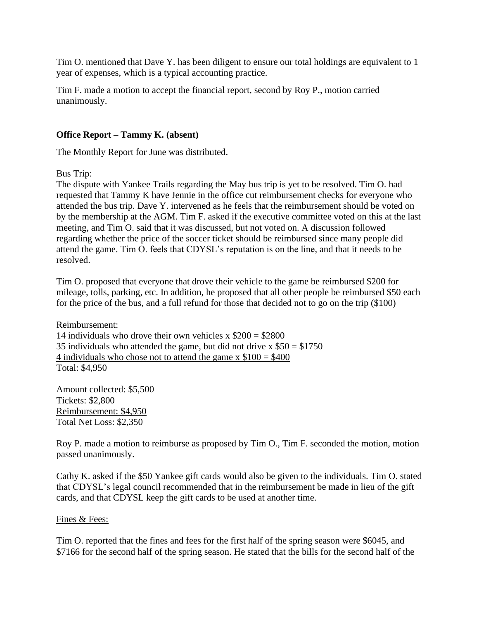Tim O. mentioned that Dave Y. has been diligent to ensure our total holdings are equivalent to 1 year of expenses, which is a typical accounting practice.

Tim F. made a motion to accept the financial report, second by Roy P., motion carried unanimously.

## **Office Report – Tammy K. (absent)**

The Monthly Report for June was distributed.

Bus Trip:

The dispute with Yankee Trails regarding the May bus trip is yet to be resolved. Tim O. had requested that Tammy K have Jennie in the office cut reimbursement checks for everyone who attended the bus trip. Dave Y. intervened as he feels that the reimbursement should be voted on by the membership at the AGM. Tim F. asked if the executive committee voted on this at the last meeting, and Tim O. said that it was discussed, but not voted on. A discussion followed regarding whether the price of the soccer ticket should be reimbursed since many people did attend the game. Tim O. feels that CDYSL's reputation is on the line, and that it needs to be resolved.

Tim O. proposed that everyone that drove their vehicle to the game be reimbursed \$200 for mileage, tolls, parking, etc. In addition, he proposed that all other people be reimbursed \$50 each for the price of the bus, and a full refund for those that decided not to go on the trip (\$100)

Reimbursement: 14 individuals who drove their own vehicles  $x$  \$200 = \$2800 35 individuals who attended the game, but did not drive  $x $50 = $1750$ 4 individuals who chose not to attend the game  $x$  \$100 = \$400 Total: \$4,950

Amount collected: \$5,500 Tickets: \$2,800 Reimbursement: \$4,950 Total Net Loss: \$2,350

Roy P. made a motion to reimburse as proposed by Tim O., Tim F. seconded the motion, motion passed unanimously.

Cathy K. asked if the \$50 Yankee gift cards would also be given to the individuals. Tim O. stated that CDYSL's legal council recommended that in the reimbursement be made in lieu of the gift cards, and that CDYSL keep the gift cards to be used at another time.

## Fines & Fees:

Tim O. reported that the fines and fees for the first half of the spring season were \$6045, and \$7166 for the second half of the spring season. He stated that the bills for the second half of the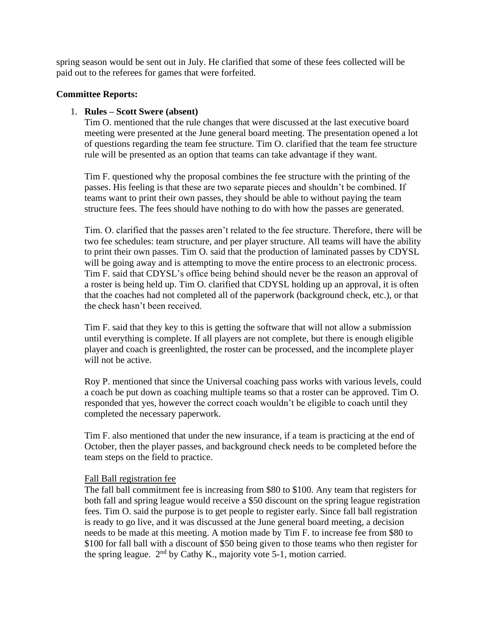spring season would be sent out in July. He clarified that some of these fees collected will be paid out to the referees for games that were forfeited.

## **Committee Reports:**

## 1. **Rules – Scott Swere (absent)**

Tim O. mentioned that the rule changes that were discussed at the last executive board meeting were presented at the June general board meeting. The presentation opened a lot of questions regarding the team fee structure. Tim O. clarified that the team fee structure rule will be presented as an option that teams can take advantage if they want.

Tim F. questioned why the proposal combines the fee structure with the printing of the passes. His feeling is that these are two separate pieces and shouldn't be combined. If teams want to print their own passes, they should be able to without paying the team structure fees. The fees should have nothing to do with how the passes are generated.

Tim. O. clarified that the passes aren't related to the fee structure. Therefore, there will be two fee schedules: team structure, and per player structure. All teams will have the ability to print their own passes. Tim O. said that the production of laminated passes by CDYSL will be going away and is attempting to move the entire process to an electronic process. Tim F. said that CDYSL's office being behind should never be the reason an approval of a roster is being held up. Tim O. clarified that CDYSL holding up an approval, it is often that the coaches had not completed all of the paperwork (background check, etc.), or that the check hasn't been received.

Tim F. said that they key to this is getting the software that will not allow a submission until everything is complete. If all players are not complete, but there is enough eligible player and coach is greenlighted, the roster can be processed, and the incomplete player will not be active.

Roy P. mentioned that since the Universal coaching pass works with various levels, could a coach be put down as coaching multiple teams so that a roster can be approved. Tim O. responded that yes, however the correct coach wouldn't be eligible to coach until they completed the necessary paperwork.

Tim F. also mentioned that under the new insurance, if a team is practicing at the end of October, then the player passes, and background check needs to be completed before the team steps on the field to practice.

## Fall Ball registration fee

The fall ball commitment fee is increasing from \$80 to \$100. Any team that registers for both fall and spring league would receive a \$50 discount on the spring league registration fees. Tim O. said the purpose is to get people to register early. Since fall ball registration is ready to go live, and it was discussed at the June general board meeting, a decision needs to be made at this meeting. A motion made by Tim F. to increase fee from \$80 to \$100 for fall ball with a discount of \$50 being given to those teams who then register for the spring league.  $2<sup>nd</sup>$  by Cathy K., majority vote 5-1, motion carried.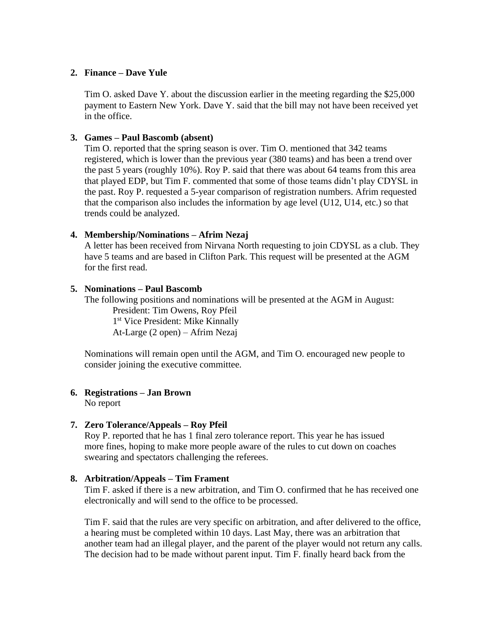## **2. Finance – Dave Yule**

Tim O. asked Dave Y. about the discussion earlier in the meeting regarding the \$25,000 payment to Eastern New York. Dave Y. said that the bill may not have been received yet in the office.

## **3. Games – Paul Bascomb (absent)**

Tim O. reported that the spring season is over. Tim O. mentioned that 342 teams registered, which is lower than the previous year (380 teams) and has been a trend over the past 5 years (roughly 10%). Roy P. said that there was about 64 teams from this area that played EDP, but Tim F. commented that some of those teams didn't play CDYSL in the past. Roy P. requested a 5-year comparison of registration numbers. Afrim requested that the comparison also includes the information by age level (U12, U14, etc.) so that trends could be analyzed.

#### **4. Membership/Nominations – Afrim Nezaj**

A letter has been received from Nirvana North requesting to join CDYSL as a club. They have 5 teams and are based in Clifton Park. This request will be presented at the AGM for the first read.

## **5. Nominations – Paul Bascomb**

The following positions and nominations will be presented at the AGM in August:

President: Tim Owens, Roy Pfeil 1 st Vice President: Mike Kinnally At-Large (2 open) – Afrim Nezaj

Nominations will remain open until the AGM, and Tim O. encouraged new people to consider joining the executive committee.

## **6. Registrations – Jan Brown**

No report

#### **7. Zero Tolerance/Appeals – Roy Pfeil**

Roy P. reported that he has 1 final zero tolerance report. This year he has issued more fines, hoping to make more people aware of the rules to cut down on coaches swearing and spectators challenging the referees.

#### **8. Arbitration/Appeals – Tim Frament**

Tim F. asked if there is a new arbitration, and Tim O. confirmed that he has received one electronically and will send to the office to be processed.

Tim F. said that the rules are very specific on arbitration, and after delivered to the office, a hearing must be completed within 10 days. Last May, there was an arbitration that another team had an illegal player, and the parent of the player would not return any calls. The decision had to be made without parent input. Tim F. finally heard back from the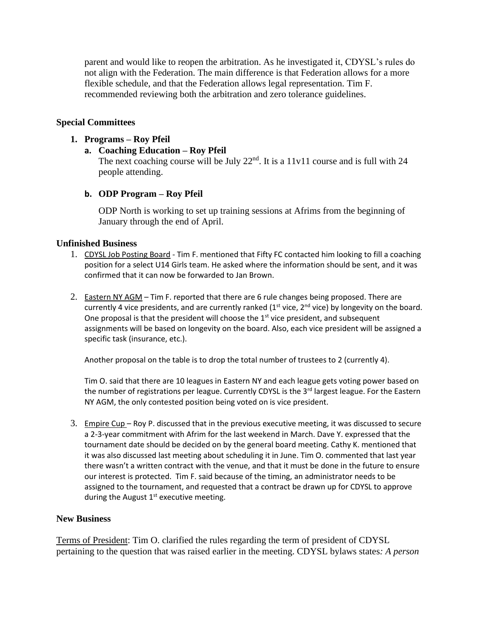parent and would like to reopen the arbitration. As he investigated it, CDYSL's rules do not align with the Federation. The main difference is that Federation allows for a more flexible schedule, and that the Federation allows legal representation. Tim F. recommended reviewing both the arbitration and zero tolerance guidelines.

## **Special Committees**

## **1. Programs – Roy Pfeil**

**a. Coaching Education – Roy Pfeil**

The next coaching course will be July  $22<sup>nd</sup>$ . It is a 11v11 course and is full with 24 people attending.

## **b. ODP Program – Roy Pfeil**

ODP North is working to set up training sessions at Afrims from the beginning of January through the end of April.

## **Unfinished Business**

- 1. CDYSL Job Posting Board Tim F. mentioned that Fifty FC contacted him looking to fill a coaching position for a select U14 Girls team. He asked where the information should be sent, and it was confirmed that it can now be forwarded to Jan Brown.
- 2. Eastern NY AGM Tim F. reported that there are 6 rule changes being proposed. There are currently 4 vice presidents, and are currently ranked  $(1<sup>st</sup>$  vice,  $2<sup>nd</sup>$  vice) by longevity on the board. One proposal is that the president will choose the  $1<sup>st</sup>$  vice president, and subsequent assignments will be based on longevity on the board. Also, each vice president will be assigned a specific task (insurance, etc.).

Another proposal on the table is to drop the total number of trustees to 2 (currently 4).

Tim O. said that there are 10 leagues in Eastern NY and each league gets voting power based on the number of registrations per league. Currently CDYSL is the 3<sup>rd</sup> largest league. For the Eastern NY AGM, the only contested position being voted on is vice president.

3. Empire Cup – Roy P. discussed that in the previous executive meeting, it was discussed to secure a 2-3-year commitment with Afrim for the last weekend in March. Dave Y. expressed that the tournament date should be decided on by the general board meeting. Cathy K. mentioned that it was also discussed last meeting about scheduling it in June. Tim O. commented that last year there wasn't a written contract with the venue, and that it must be done in the future to ensure our interest is protected. Tim F. said because of the timing, an administrator needs to be assigned to the tournament, and requested that a contract be drawn up for CDYSL to approve during the August  $1<sup>st</sup>$  executive meeting.

## **New Business**

Terms of President: Tim O. clarified the rules regarding the term of president of CDYSL pertaining to the question that was raised earlier in the meeting. CDYSL bylaws states*: A person*